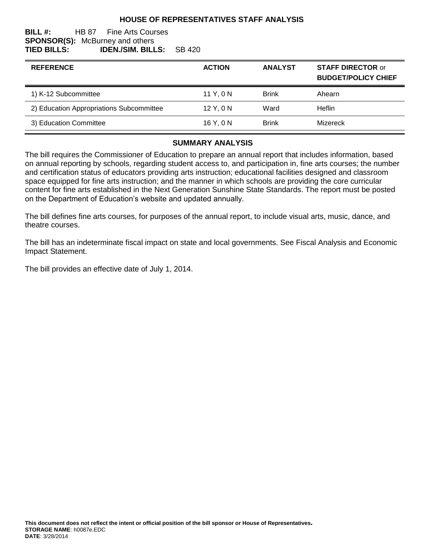### **HOUSE OF REPRESENTATIVES STAFF ANALYSIS**

#### **BILL #:** HB 87 Fine Arts Courses **SPONSOR(S):** McBurney and others **TIED BILLS: IDEN./SIM. BILLS:** SB 420

| <b>REFERENCE</b>                         | <b>ACTION</b> | <b>ANALYST</b> | <b>STAFF DIRECTOR or</b><br><b>BUDGET/POLICY CHIEF</b> |
|------------------------------------------|---------------|----------------|--------------------------------------------------------|
| 1) K-12 Subcommittee                     | 11 Y, 0 N     | <b>Brink</b>   | Ahearn                                                 |
| 2) Education Appropriations Subcommittee | 12Y.0N        | Ward           | Heflin                                                 |
| 3) Education Committee                   | 16Y.0N        | <b>Brink</b>   | Mizereck                                               |

#### **SUMMARY ANALYSIS**

The bill requires the Commissioner of Education to prepare an annual report that includes information, based on annual reporting by schools, regarding student access to, and participation in, fine arts courses; the number and certification status of educators providing arts instruction; educational facilities designed and classroom space equipped for fine arts instruction; and the manner in which schools are providing the core curricular content for fine arts established in the Next Generation Sunshine State Standards. The report must be posted on the Department of Education's website and updated annually.

The bill defines fine arts courses, for purposes of the annual report, to include visual arts, music, dance, and theatre courses.

The bill has an indeterminate fiscal impact on state and local governments. See Fiscal Analysis and Economic Impact Statement.

The bill provides an effective date of July 1, 2014.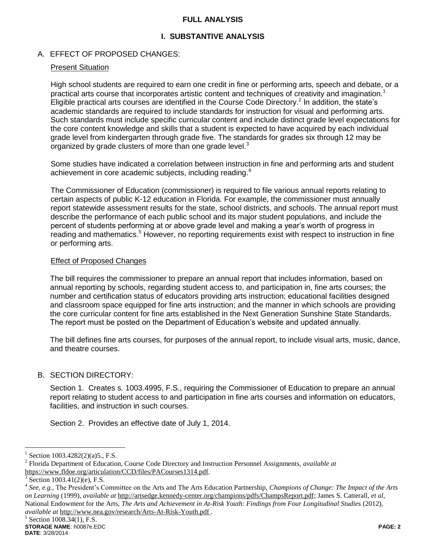### **FULL ANALYSIS**

# **I. SUBSTANTIVE ANALYSIS**

## A. EFFECT OF PROPOSED CHANGES:

### Present Situation

High school students are required to earn one credit in fine or performing arts, speech and debate, or a practical arts course that incorporates artistic content and techniques of creativity and imagination.<sup>1</sup> Eligible practical arts courses are identified in the Course Code Directory.<sup>2</sup> In addition, the state's academic standards are required to include standards for instruction for visual and performing arts. Such standards must include specific curricular content and include distinct grade level expectations for the core content knowledge and skills that a student is expected to have acquired by each individual grade level from kindergarten through grade five. The standards for grades six through 12 may be organized by grade clusters of more than one grade level.<sup>3</sup>

Some studies have indicated a correlation between instruction in fine and performing arts and student achievement in core academic subjects, including reading.<sup>4</sup>

The Commissioner of Education (commissioner) is required to file various annual reports relating to certain aspects of public K-12 education in Florida. For example, the commissioner must annually report statewide assessment results for the state, school districts, and schools. The annual report must describe the performance of each public school and its major student populations, and include the percent of students performing at or above grade level and making a year's worth of progress in reading and mathematics.<sup>5</sup> However, no reporting requirements exist with respect to instruction in fine or performing arts.

### Effect of Proposed Changes

The bill requires the commissioner to prepare an annual report that includes information, based on annual reporting by schools, regarding student access to, and participation in, fine arts courses; the number and certification status of educators providing arts instruction; educational facilities designed and classroom space equipped for fine arts instruction; and the manner in which schools are providing the core curricular content for fine arts established in the Next Generation Sunshine State Standards. The report must be posted on the Department of Education's website and updated annually.

The bill defines fine arts courses, for purposes of the annual report, to include visual arts, music, dance, and theatre courses.

### B. SECTION DIRECTORY:

Section 1. Creates s. 1003.4995, F.S., requiring the Commissioner of Education to prepare an annual report relating to student access to and participation in fine arts courses and information on educators, facilities, and instruction in such courses.

Section 2. Provides an effective date of July 1, 2014.

 $\overline{a}$ 

<sup>1</sup> Section 1003.4282(2)(a)5., F.S.

<sup>2</sup> Florida Department of Education, Course Code Directory and Instruction Personnel Assignments, *available at* https://www.fldoe.org/articulation/CCD/files/PACourses1314.pdf.

<sup>3</sup> Section 1003.41(2)(e), F.S.

<sup>4</sup> *See, e.g.,* The President's Committee on the Arts and The Arts Education Partnership, *Champions of Change: The Impact of the Arts on Learning* (1999), *available at* http://artsedge.kennedy-center.org/champions/pdfs/ChampsReport.pdf; James S. Catterall, *et al*, National Endowment for the Arts, *The Arts and Achievement in At-Risk Youth: Findings from Four Longitudinal Studies* (2012), *available at* http://www.nea.gov/research/Arts-At-Risk-Youth.pdf .